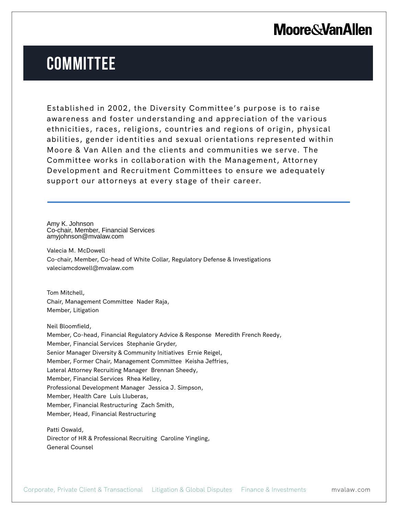## **Moore & Van Allen**

## **COMMITTEE**

Established in 2002, the Diversity Committee's purpose is to raise awareness and foster understanding and appreciation of the various ethnicities, races, religions, countries and regions of origin, physical abilities, gender identities and sexual orientations represented within Moore & Van Allen and the clients and communities we serve. The Committee works in collaboration with the Management, Attorney Development and Recruitment Committees to ensure we adequately support our attorneys at every stage of their career.

Amy K. Johnson Co-chair, Member, Financial Services amyjohnson@mvalaw.com

L

Valecia M. McDowell Co-chair, Member, Co-head of White Collar, Regulatory Defense & Investigations valeciamcdowell@mvalaw.com

Tom Mitchell, Chair, Management Committee Nader Raja, Member, Litigation

Neil Bloomfield, Member, Co-head, Financial Regulatory Advice & Response Meredith French Reedy, Member, Financial Services Stephanie Gryder, Senior Manager Diversity & Community Initiatives Ernie Reigel, Member, Former Chair, Management Committee Keisha Jeffries, Lateral Attorney Recruiting Manager Brennan Sheedy, Member, Financial Services Rhea Kelley, Professional Development Manager Jessica J. Simpson, Member, Health Care Luis Lluberas, Member, Financial Restructuring Zach Smith, Member, Head, Financial Restructuring

Patti Oswald, Director of HR & Professional Recruiting Caroline Yingling, General Counsel